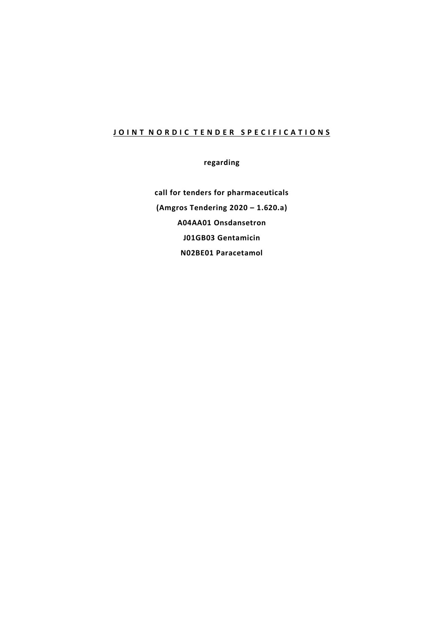# **JOINT NORDIC TENDER SPECIFICATIONS**

**regarding**

**call for tenders for pharmaceuticals (Amgros Tendering 2020 – 1.620.a) A04AA01 Onsdansetron J01GB03 Gentamicin N02BE01 Paracetamol**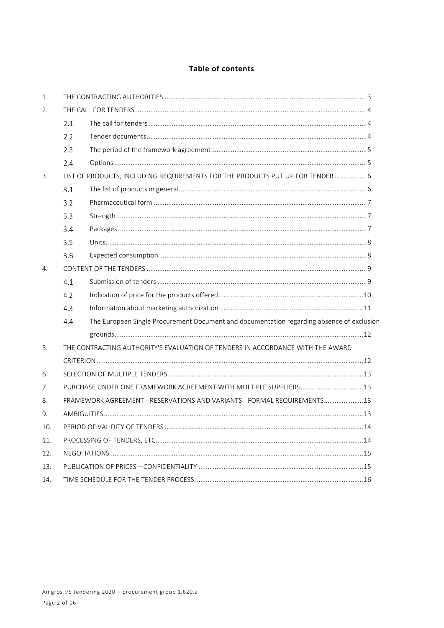# Table of contents

| 1.  |                                                                                                  |                                                                          |  |
|-----|--------------------------------------------------------------------------------------------------|--------------------------------------------------------------------------|--|
| 2.  |                                                                                                  |                                                                          |  |
|     | 2.1                                                                                              |                                                                          |  |
|     | 2.2                                                                                              |                                                                          |  |
|     | 2.3                                                                                              |                                                                          |  |
|     | 2.4                                                                                              |                                                                          |  |
| 3.  | LIST OF PRODUCTS, INCLUDING REQUIREMENTS FOR THE PRODUCTS PUT UP FOR TENDER  6                   |                                                                          |  |
|     | 3.1                                                                                              |                                                                          |  |
|     | 3.2                                                                                              |                                                                          |  |
|     | 3.3                                                                                              |                                                                          |  |
|     | 3.4                                                                                              |                                                                          |  |
|     | 3.5                                                                                              |                                                                          |  |
|     | 3.6                                                                                              |                                                                          |  |
| 4.  |                                                                                                  |                                                                          |  |
|     | 4.1                                                                                              |                                                                          |  |
|     | 4.2                                                                                              |                                                                          |  |
|     | 4.3                                                                                              |                                                                          |  |
|     | The European Single Procurement Document and documentation regarding absence of exclusion<br>4.4 |                                                                          |  |
|     |                                                                                                  |                                                                          |  |
| 5.  | THE CONTRACTING AUTHORITY'S EVALUATION OF TENDERS IN ACCORDANCE WITH THE AWARD                   |                                                                          |  |
|     |                                                                                                  |                                                                          |  |
| 6.  |                                                                                                  |                                                                          |  |
| 7.  |                                                                                                  | PURCHASE UNDER ONE FRAMEWORK AGREEMENT WITH MULTIPLE SUPPLIERS 13        |  |
| 8.  |                                                                                                  | FRAMEWORK AGREEMENT - RESERVATIONS AND VARIANTS - FORMAL REQUIREMENTS 13 |  |
| 9.  |                                                                                                  |                                                                          |  |
| 10. | $\dots$ 14                                                                                       |                                                                          |  |
| 11. |                                                                                                  |                                                                          |  |
| 12. |                                                                                                  |                                                                          |  |
| 13. |                                                                                                  |                                                                          |  |
| 14. |                                                                                                  |                                                                          |  |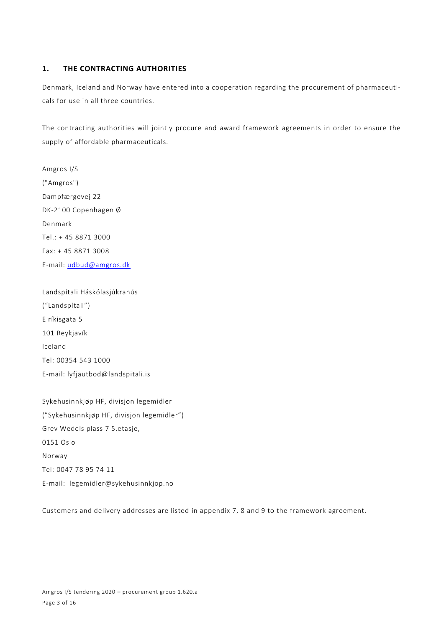# **1. THE CONTRACTING AUTHORITIES**

Denmark, Iceland and Norway have entered into a cooperation regarding the procurement of pharmaceuticals for use in all three countries.

The contracting authorities will jointly procure and award framework agreements in order to ensure the supply of affordable pharmaceuticals.

Amgros I/S ("Amgros") Dampfærgevej 22 DK-2100 Copenhagen Ø Denmark Tel.: + 45 8871 3000 Fax: + 45 8871 3008 E-mail: [udbud@amgros.dk](mailto:udbud@amgros.dk)

Landspítali Háskólasjúkrahús ("Landspítali") Eiríkisgata 5 101 Reykjavík Iceland Tel: 00354 543 1000 E-mail: [lyfjautbod@landspitali.is](mailto:lyfjautbod@landspitali.is)

Sykehusinnkjøp HF, divisjon legemidler ("Sykehusinnkjøp HF, divisjon legemidler") Grev Wedels plass 7 5.etasje, 0151 Oslo Norway Tel: 0047 78 95 74 11 E-mail: legemidler@sykehusinnkjop.no

Customers and delivery addresses are listed in appendix 7, 8 and 9 to the framework agreement.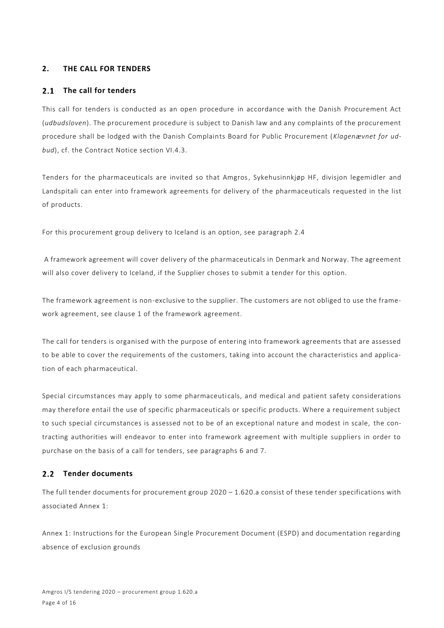# **2. THE CALL FOR TENDERS**

#### **The call for tenders**  $2.1$

This call for tenders is conducted as an open procedure in accordance with the Danish Procurement Act (*udbudsloven*). The procurement procedure is subject to Danish law and any complaints of the procurement procedure shall be lodged with the Danish Complaints Board for Public Procurement (*Klagenævnet for udbud*), cf. the Contract Notice section VI.4.3.

Tenders for the pharmaceuticals are invited so that Amgros, Sykehusinnkjøp HF, divisjon legemidler and Landspitali can enter into framework agreements for delivery of the pharmaceuticals requested in the list of products.

For this procurement group delivery to Iceland is an option, see paragraph [2.4](#page-4-0)

A framework agreement will cover delivery of the pharmaceuticals in Denmark and Norway. The agreement will also cover delivery to Iceland, if the Supplier choses to submit a tender for this option.

The framework agreement is non-exclusive to the supplier. The customers are not obliged to use the framework agreement, see clause 1 of the framework agreement.

The call for tenders is organised with the purpose of entering into framework agreements that are assessed to be able to cover the requirements of the customers, taking into account the characteristics and application of each pharmaceutical.

Special circumstances may apply to some pharmaceuticals, and medical and patient safety considerations may therefore entail the use of specific pharmaceuticals or specific products. Where a requirement subject to such special circumstances is assessed not to be of an exceptional nature and modest in scale, the contracting authorities will endeavor to enter into framework agreement with multiple suppliers in order to purchase on the basis of a call for tenders, see paragraphs 6 and 7.

# 2.2 Tender documents

The full tender documents for procurement group 2020 – 1.620.a consist of these tender specifications with associated Annex 1:

Annex 1: Instructions for the European Single Procurement Document (ESPD) and documentation regarding absence of exclusion grounds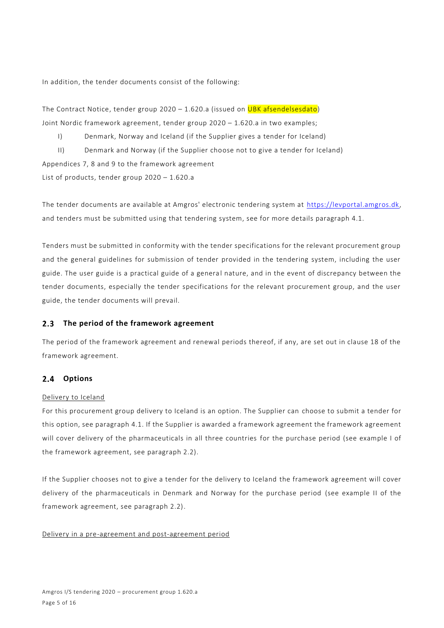In addition, the tender documents consist of the following:

The Contract Notice, tender group 2020 - 1.620.a (issued on UBK afsendelsesdato) Joint Nordic framework agreement, tender group 2020 – 1.620.a in two examples;

I) Denmark, Norway and Iceland (if the Supplier gives a tender for Iceland)

II) Denmark and Norway (if the Supplier choose not to give a tender for Iceland)

Appendices 7, 8 and 9 to the framework agreement

List of products, tender group 2020 – 1.620.a

The tender documents are available at Amgros' electronic tendering system at [https://levportal.amgros.dk,](https://levportal.amgros.dk/) and tenders must be submitted using that tendering system, see for more details paragraph 4.1.

Tenders must be submitted in conformity with the tender specifications for the relevant procurement group and the general guidelines for submission of tender provided in the tendering system, including the user guide. The user guide is a practical guide of a general nature, and in the event of discrepancy between the tender documents, especially the tender specifications for the relevant procurement group, and the user guide, the tender documents will prevail.

#### $2.3$ **The period of the framework agreement**

The period of the framework agreement and renewal periods thereof, if any, are set out in clause 18 of the framework agreement.

#### <span id="page-4-0"></span> $2.4$ **Options**

# Delivery to Iceland

For this procurement group delivery to Iceland is an option. The Supplier can choose to submit a tender for this option, see paragraph [4.1.](#page-8-0) If the Supplier is awarded a framework agreement the framework agreement will cover delivery of the pharmaceuticals in all three countries for the purchase period (see example I of the framework agreement, see paragraph 2.2).

If the Supplier chooses not to give a tender for the delivery to Iceland the framework agreement will cover delivery of the pharmaceuticals in Denmark and Norway for the purchase period (see example II of the framework agreement, see paragraph 2.2).

### Delivery in a pre-agreement and post-agreement period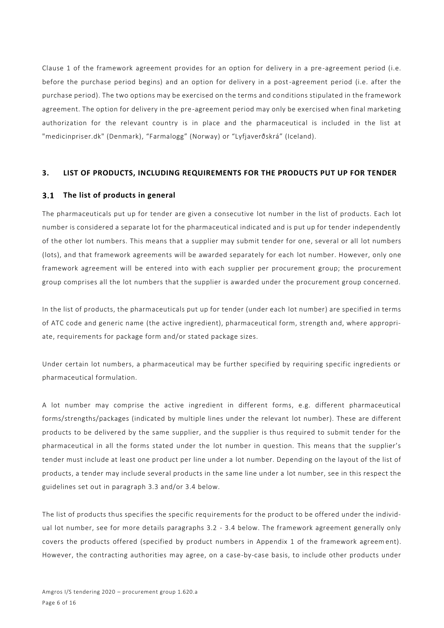Clause 1 of the framework agreement provides for an option for delivery in a pre-agreement period (i.e. before the purchase period begins) and an option for delivery in a post-agreement period (i.e. after the purchase period). The two options may be exercised on the terms and conditions stipulated in the framework agreement. The option for delivery in the pre-agreement period may only be exercised when final marketing authorization for the relevant country is in place and the pharmaceutical is included in the list at "medicinpriser.dk" (Denmark), "Farmalogg" (Norway) or "Lyfjaverðskrá" (Iceland).

### **3. LIST OF PRODUCTS, INCLUDING REQUIREMENTS FOR THE PRODUCTS PUT UP FOR TENDER**

#### $3.1$ **The list of products in general**

The pharmaceuticals put up for tender are given a consecutive lot number in the list of products. Each lot number is considered a separate lot for the pharmaceutical indicated and is put up for tender independently of the other lot numbers. This means that a supplier may submit tender for one, several or all lot numbers (lots), and that framework agreements will be awarded separately for each lot number. However, only one framework agreement will be entered into with each supplier per procurement group; the procurement group comprises all the lot numbers that the supplier is awarded under the procurement group concerned.

In the list of products, the pharmaceuticals put up for tender (under each lot number) are specified in terms of ATC code and generic name (the active ingredient), pharmaceutical form, strength and, where appropriate, requirements for package form and/or stated package sizes.

Under certain lot numbers, a pharmaceutical may be further specified by requiring specific ingredients or pharmaceutical formulation.

A lot number may comprise the active ingredient in different forms, e.g. different pharmaceutical forms/strengths/packages (indicated by multiple lines under the relevant lot number). These are different products to be delivered by the same supplier, and the supplier is thus required to submit tender for the pharmaceutical in all the forms stated under the lot number in question. This means that the supplier's tender must include at least one product per line under a lot number. Depending on the layout of the list of products, a tender may include several products in the same line under a lot number, see in this respect the guidelines set out in paragraph 3.3 and/or 3.4 below.

The list of products thus specifies the specific requirements for the product to be offered under the individual lot number, see for more details paragraphs 3.2 - 3.4 below. The framework agreement generally only covers the products offered (specified by product numbers in Appendix 1 of the framework agreem ent). However, the contracting authorities may agree, on a case-by-case basis, to include other products under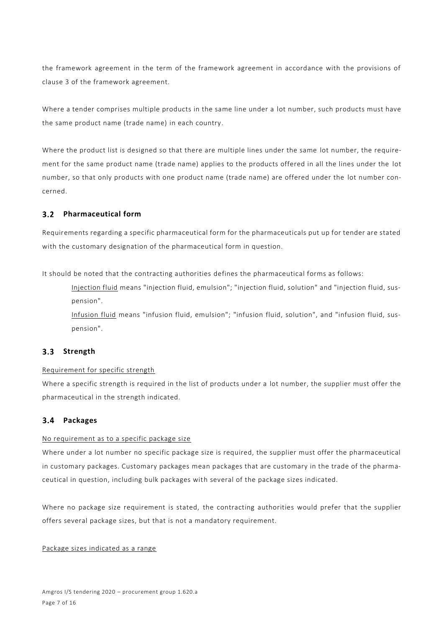the framework agreement in the term of the framework agreement in accordance with the provisions of clause 3 of the framework agreement.

Where a tender comprises multiple products in the same line under a lot number, such products must have the same product name (trade name) in each country.

Where the product list is designed so that there are multiple lines under the same lot number, the requirement for the same product name (trade name) applies to the products offered in all the lines under the lot number, so that only products with one product name (trade name) are offered under the lot number concerned.

# **Pharmaceutical form**

Requirements regarding a specific pharmaceutical form for the pharmaceuticals put up for tender are stated with the customary designation of the pharmaceutical form in question.

It should be noted that the contracting authorities defines the pharmaceutical forms as follows:

Injection fluid means "injection fluid, emulsion"; "injection fluid, solution" and "injection fluid, suspension".

Infusion fluid means "infusion fluid, emulsion"; "infusion fluid, solution", and "infusion fluid, suspension".

# **Strength**

# Requirement for specific strength

Where a specific strength is required in the list of products under a lot number, the supplier must offer the pharmaceutical in the strength indicated.

#### $3.4$ **Packages**

# No requirement as to a specific package size

Where under a lot number no specific package size is required, the supplier must offer the pharmaceutical in customary packages. Customary packages mean packages that are customary in the trade of the pharmaceutical in question, including bulk packages with several of the package sizes indicated.

Where no package size requirement is stated, the contracting authorities would prefer that the supplier offers several package sizes, but that is not a mandatory requirement.

# Package sizes indicated as a range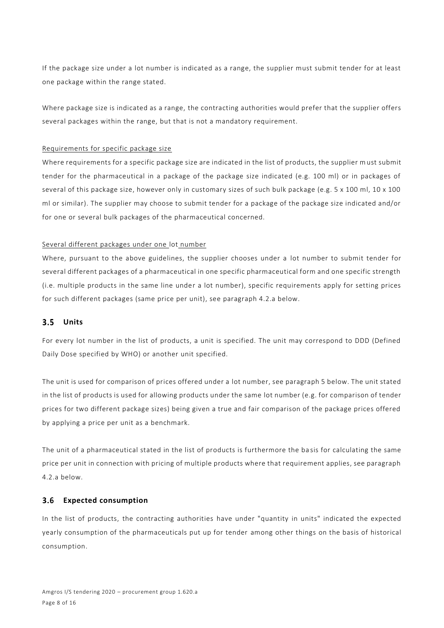If the package size under a lot number is indicated as a range, the supplier must submit tender for at least one package within the range stated.

Where package size is indicated as a range, the contracting authorities would prefer that the supplier offers several packages within the range, but that is not a mandatory requirement.

## Requirements for specific package size

Where requirements for a specific package size are indicated in the list of products, the supplier must submit tender for the pharmaceutical in a package of the package size indicated (e.g. 100 ml) or in packages of several of this package size, however only in customary sizes of such bulk package (e.g. 5 x 100 ml, 10 x 100 ml or similar). The supplier may choose to submit tender for a package of the package size indicated and/or for one or several bulk packages of the pharmaceutical concerned.

## Several different packages under one lot number

Where, pursuant to the above guidelines, the supplier chooses under a lot number to submit tender for several different packages of a pharmaceutical in one specific pharmaceutical form and one specific strength (i.e. multiple products in the same line under a lot number), specific requirements apply for setting prices for such different packages (same price per unit), see paragraph 4.2.a below.

#### $3.5$ **Units**

For every lot number in the list of products, a unit is specified. The unit may correspond to DDD (Defined Daily Dose specified by WHO) or another unit specified.

The unit is used for comparison of prices offered under a lot number, see paragraph 5 below. The unit stated in the list of products is used for allowing products under the same lot number (e.g. for comparison of tender prices for two different package sizes) being given a true and fair comparison of the package prices offered by applying a price per unit as a benchmark.

The unit of a pharmaceutical stated in the list of products is furthermore the ba sis for calculating the same price per unit in connection with pricing of multiple products where that requirement applies, see paragraph 4.2.a below.

#### $3.6$ **Expected consumption**

In the list of products, the contracting authorities have under "quantity in units" indicated the expected yearly consumption of the pharmaceuticals put up for tender among other things on the basis of historical consumption.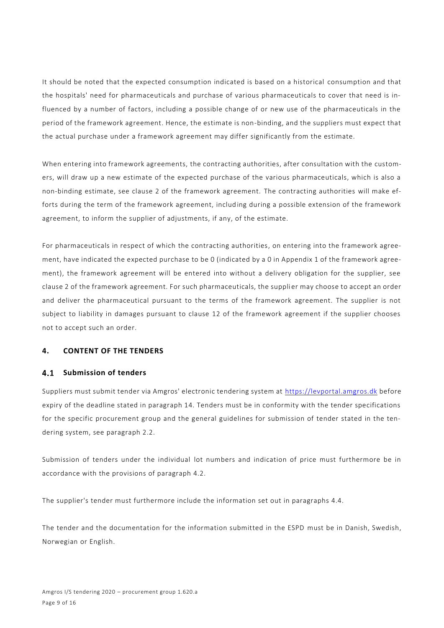It should be noted that the expected consumption indicated is based on a historical consumption and that the hospitals' need for pharmaceuticals and purchase of various pharmaceuticals to cover that need is influenced by a number of factors, including a possible change of or new use of the pharmaceuticals in the period of the framework agreement. Hence, the estimate is non-binding, and the suppliers must expect that the actual purchase under a framework agreement may differ significantly from the estimate.

When entering into framework agreements, the contracting authorities, after consultation with the customers, will draw up a new estimate of the expected purchase of the various pharmaceuticals, which is also a non-binding estimate, see clause 2 of the framework agreement. The contracting authorities will make efforts during the term of the framework agreement, including during a possible extension of the framework agreement, to inform the supplier of adjustments, if any, of the estimate.

For pharmaceuticals in respect of which the contracting authorities, on entering into the framework agreement, have indicated the expected purchase to be 0 (indicated by a 0 in Appendix 1 of the framework agreement), the framework agreement will be entered into without a delivery obligation for the supplier, see clause 2 of the framework agreement. For such pharmaceuticals, the supplier may choose to accept an order and deliver the pharmaceutical pursuant to the terms of the framework agreement. The supplier is not subject to liability in damages pursuant to clause 12 of the framework agreement if the supplier chooses not to accept such an order.

## **4. CONTENT OF THE TENDERS**

### <span id="page-8-0"></span>**Submission of tenders**

Suppliers must submit tender via Amgros' electronic tendering system at [https://levportal.amgros.dk](https://levportal.amgros.dk/) before expiry of the deadline stated in paragraph 14. Tenders must be in conformity with the tender specifications for the specific procurement group and the general guidelines for submission of tender stated in the tendering system, see paragraph 2.2.

Submission of tenders under the individual lot numbers and indication of price must furthermore be in accordance with the provisions of paragraph 4.2.

The supplier's tender must furthermore include the information set out in paragraphs 4.4.

The tender and the documentation for the information submitted in the ESPD must be in Danish, Swedish, Norwegian or English.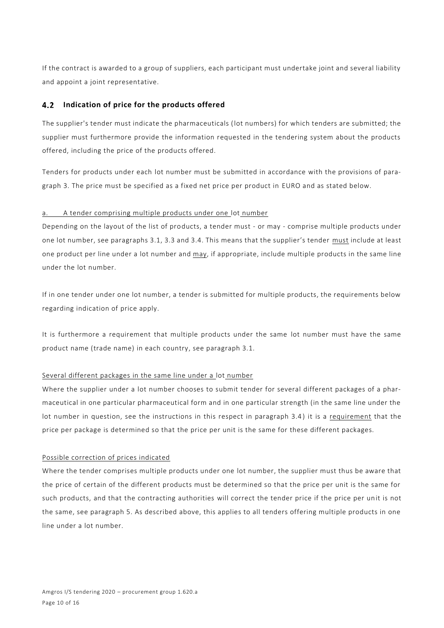If the contract is awarded to a group of suppliers, each participant must undertake joint and several liability and appoint a joint representative.

#### **Indication of price for the products offered**   $4.2$

The supplier's tender must indicate the pharmaceuticals (lot numbers) for which tenders are submitted; the supplier must furthermore provide the information requested in the tendering system about the products offered, including the price of the products offered.

Tenders for products under each lot number must be submitted in accordance with the provisions of paragraph 3. The price must be specified as a fixed net price per product in EURO and as stated below.

## a. A tender comprising multiple products under one lot number

Depending on the layout of the list of products, a tender must - or may - comprise multiple products under one lot number, see paragraphs 3.1, 3.3 and 3.4. This means that the supplier's tender must include at least one product per line under a lot number and may, if appropriate, include multiple products in the same line under the lot number.

If in one tender under one lot number, a tender is submitted for multiple products, the requirements below regarding indication of price apply.

It is furthermore a requirement that multiple products under the same lot number must have the same product name (trade name) in each country, see paragraph 3.1.

# Several different packages in the same line under a lot number

Where the supplier under a lot number chooses to submit tender for several different packages of a pharmaceutical in one particular pharmaceutical form and in one particular strength (in the same line under the lot number in question, see the instructions in this respect in paragraph 3.4 ) it is a requirement that the price per package is determined so that the price per unit is the same for these different packages.

### Possible correction of prices indicated

Where the tender comprises multiple products under one lot number, the supplier must thus be aware that the price of certain of the different products must be determined so that the price per unit is the same for such products, and that the contracting authorities will correct the tender price if the price per unit is not the same, see paragraph 5. As described above, this applies to all tenders offering multiple products in one line under a lot number.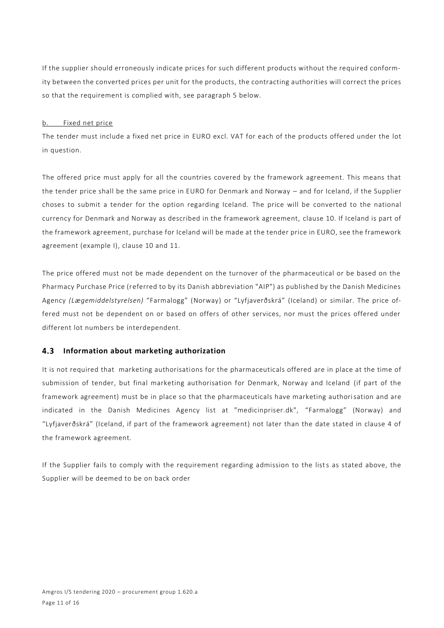If the supplier should erroneously indicate prices for such different products without the required conformity between the converted prices per unit for the products, the contracting authorities will correct the prices so that the requirement is complied with, see paragraph 5 below.

### b. Fixed net price

The tender must include a fixed net price in EURO excl. VAT for each of the products offered under the lot in question.

The offered price must apply for all the countries covered by the framework agreement. This means that the tender price shall be the same price in EURO for Denmark and Norway – and for Iceland, if the Supplier choses to submit a tender for the option regarding Iceland. The price will be converted to the national currency for Denmark and Norway as described in the framework agreement, clause 10. If Iceland is part of the framework agreement, purchase for Iceland will be made at the tender price in EURO, see the framework agreement (example I), clause 10 and 11.

The price offered must not be made dependent on the turnover of the pharmaceutical or be based on the Pharmacy Purchase Price (referred to by its Danish abbreviation "AIP") as published by the Danish Medicines Agency *(Lægemiddelstyrelsen)* "Farmalogg" (Norway) or "Lyfjaverðskrá" (Iceland) or similar. The price offered must not be dependent on or based on offers of other services, nor must the prices offered under different lot numbers be interdependent.

#### **Information about marketing authorization** 4.3

It is not required that marketing authorisations for the pharmaceuticals offered are in place at the time of submission of tender, but final marketing authorisation for Denmark, Norway and Iceland (if part of the framework agreement) must be in place so that the pharmaceuticals have marketing authorisation and are indicated in the Danish Medicines Agency list at "medicinpriser.dk", "Farmalogg" (Norway) and "Lyfjaverðskrá" (Iceland, if part of the framework agreement) not later than the date stated in clause 4 of the framework agreement.

If the Supplier fails to comply with the requirement regarding admission to the lists as stated above, the Supplier will be deemed to be on back order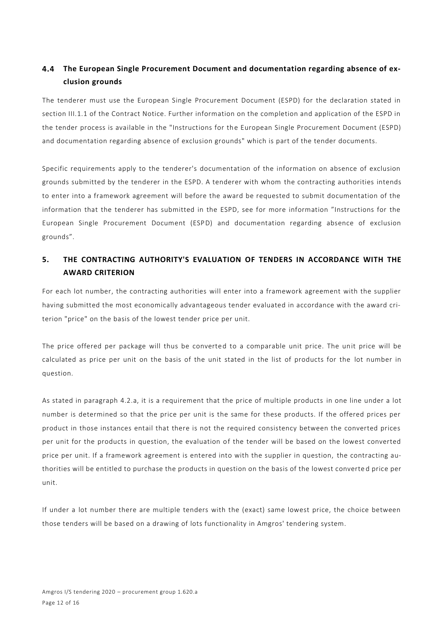### $4.4$ **The European Single Procurement Document and documentation regarding absence of exclusion grounds**

The tenderer must use the European Single Procurement Document (ESPD) for the declaration stated in section III.1.1 of the Contract Notice. Further information on the completion and application of the ESPD in the tender process is available in the "Instructions for the European Single Procurement Document (ESPD) and documentation regarding absence of exclusion grounds" which is part of the tender documents.

Specific requirements apply to the tenderer's documentation of the information on absence of exclusion grounds submitted by the tenderer in the ESPD. A tenderer with whom the contracting authorities intends to enter into a framework agreement will before the award be requested to submit documentation of the information that the tenderer has submitted in the ESPD, see for more information "Instructions for the European Single Procurement Document (ESPD) and documentation regarding absence of exclusion grounds".

# **5. THE CONTRACTING AUTHORITY'S EVALUATION OF TENDERS IN ACCORDANCE WITH THE AWARD CRITERION**

For each lot number, the contracting authorities will enter into a framework agreement with the supplier having submitted the most economically advantageous tender evaluated in accordance with the award criterion "price" on the basis of the lowest tender price per unit.

The price offered per package will thus be converted to a comparable unit price. The unit price will be calculated as price per unit on the basis of the unit stated in the list of products for the lot number in question.

As stated in paragraph 4.2.a, it is a requirement that the price of multiple products in one line under a lot number is determined so that the price per unit is the same for these products. If the offered prices per product in those instances entail that there is not the required consistency between the converted prices per unit for the products in question, the evaluation of the tender will be based on the lowest converted price per unit. If a framework agreement is entered into with the supplier in question, the contracting authorities will be entitled to purchase the products in question on the basis of the lowest converte d price per unit.

If under a lot number there are multiple tenders with the (exact) same lowest price, the choice between those tenders will be based on a drawing of lots functionality in Amgros' tendering system.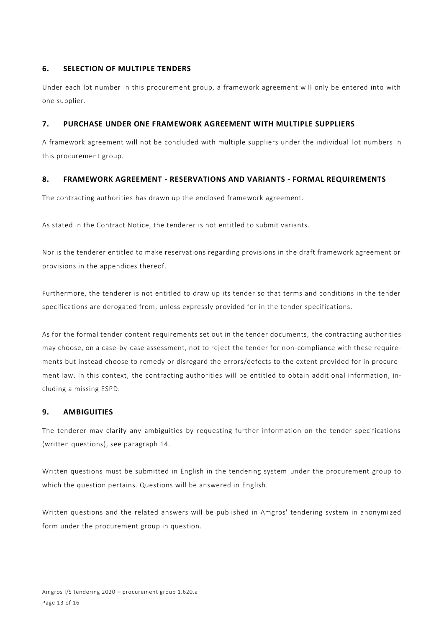# **6. SELECTION OF MULTIPLE TENDERS**

Under each lot number in this procurement group, a framework agreement will only be entered into with one supplier.

# **7. PURCHASE UNDER ONE FRAMEWORK AGREEMENT WITH MULTIPLE SUPPLIERS**

A framework agreement will not be concluded with multiple suppliers under the individual lot numbers in this procurement group.

# **8. FRAMEWORK AGREEMENT - RESERVATIONS AND VARIANTS - FORMAL REQUIREMENTS**

The contracting authorities has drawn up the enclosed framework agreement.

As stated in the Contract Notice, the tenderer is not entitled to submit variants.

Nor is the tenderer entitled to make reservations regarding provisions in the draft framework agreement or provisions in the appendices thereof.

Furthermore, the tenderer is not entitled to draw up its tender so that terms and conditions in the tender specifications are derogated from, unless expressly provided for in the tender specifications.

As for the formal tender content requirements set out in the tender documents, the contracting authorities may choose, on a case-by-case assessment, not to reject the tender for non-compliance with these requirements but instead choose to remedy or disregard the errors/defects to the extent provided for in procurement law. In this context, the contracting authorities will be entitled to obtain additional information, including a missing ESPD.

# **9. AMBIGUITIES**

The tenderer may clarify any ambiguities by requesting further information on the tender specifications (written questions), see paragraph 14.

Written questions must be submitted in English in the tendering system under the procurement group to which the question pertains. Questions will be answered in English.

Written questions and the related answers will be published in Amgros' tendering system in anonymized form under the procurement group in question.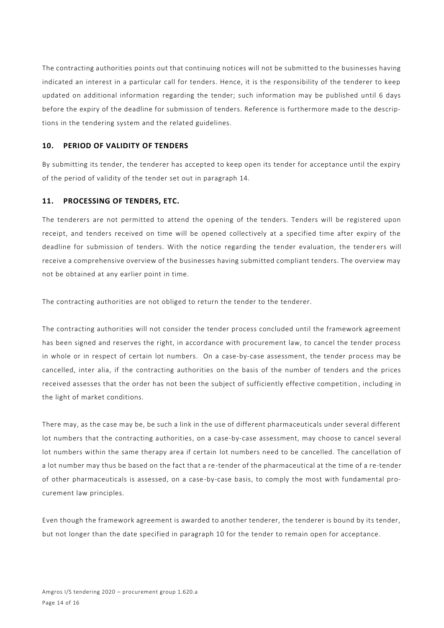The contracting authorities points out that continuing notices will not be submitted to the businesses having indicated an interest in a particular call for tenders. Hence, it is the responsibility of the tenderer to keep updated on additional information regarding the tender; such information may be published until 6 days before the expiry of the deadline for submission of tenders. Reference is furthermore made to the descriptions in the tendering system and the related guidelines.

# **10. PERIOD OF VALIDITY OF TENDERS**

By submitting its tender, the tenderer has accepted to keep open its tender for acceptance until the expiry of the period of validity of the tender set out in paragraph 14.

# **11. PROCESSING OF TENDERS, ETC.**

The tenderers are not permitted to attend the opening of the tenders. Tenders will be registered upon receipt, and tenders received on time will be opened collectively at a specified time after expiry of the deadline for submission of tenders. With the notice regarding the tender evaluation, the tender ers will receive a comprehensive overview of the businesses having submitted compliant tenders. The overview may not be obtained at any earlier point in time.

The contracting authorities are not obliged to return the tender to the tenderer.

The contracting authorities will not consider the tender process concluded until the framework agreement has been signed and reserves the right, in accordance with procurement law, to cancel the tender process in whole or in respect of certain lot numbers. On a case-by-case assessment, the tender process may be cancelled, inter alia, if the contracting authorities on the basis of the number of tenders and the prices received assesses that the order has not been the subject of sufficiently effective competition , including in the light of market conditions.

There may, as the case may be, be such a link in the use of different pharmaceuticals under several different lot numbers that the contracting authorities, on a case-by-case assessment, may choose to cancel several lot numbers within the same therapy area if certain lot numbers need to be cancelled. The cancellation of a lot number may thus be based on the fact that a re-tender of the pharmaceutical at the time of a re-tender of other pharmaceuticals is assessed, on a case-by-case basis, to comply the most with fundamental procurement law principles.

Even though the framework agreement is awarded to another tenderer, the tenderer is bound by its tender, but not longer than the date specified in paragraph 10 for the tender to remain open for acceptance.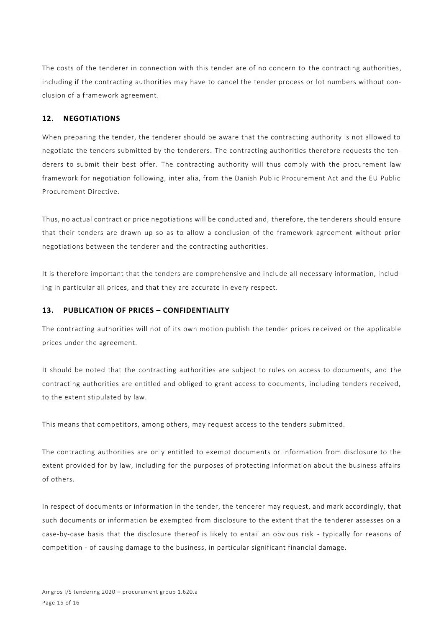The costs of the tenderer in connection with this tender are of no concern to the contracting authorities, including if the contracting authorities may have to cancel the tender process or lot numbers without conclusion of a framework agreement.

# **12. NEGOTIATIONS**

When preparing the tender, the tenderer should be aware that the contracting authority is not allowed to negotiate the tenders submitted by the tenderers. The contracting authorities therefore requests the tenderers to submit their best offer. The contracting authority will thus comply with the procurement law framework for negotiation following, inter alia, from the Danish Public Procurement Act and the EU Public Procurement Directive.

Thus, no actual contract or price negotiations will be conducted and, therefore, the tenderers should ensure that their tenders are drawn up so as to allow a conclusion of the framework agreement without prior negotiations between the tenderer and the contracting authorities.

It is therefore important that the tenders are comprehensive and include all necessary information, including in particular all prices, and that they are accurate in every respect.

# **13. PUBLICATION OF PRICES – CONFIDENTIALITY**

The contracting authorities will not of its own motion publish the tender prices re ceived or the applicable prices under the agreement.

It should be noted that the contracting authorities are subject to rules on access to documents, and the contracting authorities are entitled and obliged to grant access to documents, including tenders received, to the extent stipulated by law.

This means that competitors, among others, may request access to the tenders submitted.

The contracting authorities are only entitled to exempt documents or information from disclosure to the extent provided for by law, including for the purposes of protecting information about the business affairs of others.

In respect of documents or information in the tender, the tenderer may request, and mark accordingly, that such documents or information be exempted from disclosure to the extent that the tenderer assesses on a case-by-case basis that the disclosure thereof is likely to entail an obvious risk - typically for reasons of competition - of causing damage to the business, in particular significant financial damage.